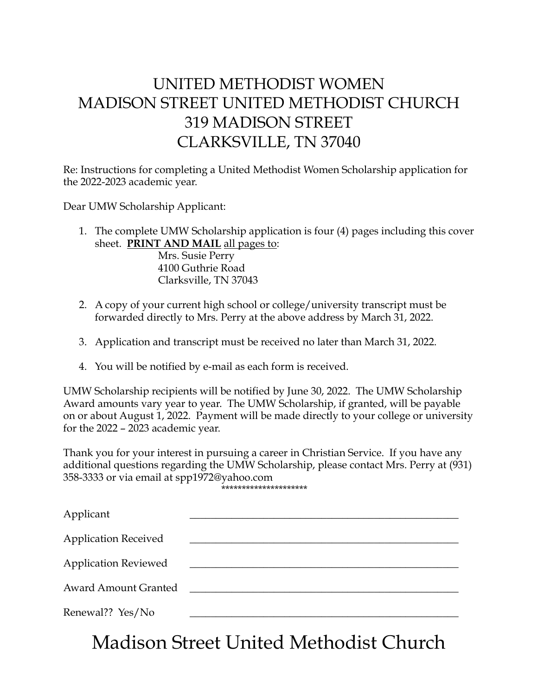## UNITED METHODIST WOMEN MADISON STREET UNITED METHODIST CHURCH 319 MADISON STREET CLARKSVILLE, TN 37040

Re: Instructions for completing a United Methodist Women Scholarship application for the 2022-2023 academic year.

Dear UMW Scholarship Applicant:

1. The complete UMW Scholarship application is four (4) pages including this cover sheet. **PRINT AND MAIL** all pages to:

 Mrs. Susie Perry 4100 Guthrie Road Clarksville, TN 37043

- 2. A copy of your current high school or college/university transcript must be forwarded directly to Mrs. Perry at the above address by March 31, 2022.
- 3. Application and transcript must be received no later than March 31, 2022.
- 4. You will be notified by e-mail as each form is received.

UMW Scholarship recipients will be notified by June 30, 2022. The UMW Scholarship Award amounts vary year to year. The UMW Scholarship, if granted, will be payable on or about August 1, 2022. Payment will be made directly to your college or university for the 2022 – 2023 academic year.

Thank you for your interest in pursuing a career in Christian Service. If you have any additional questions regarding the UMW Scholarship, please contact Mrs. Perry at (931) 358-3333 or via email at spp1972@yahoo.com \*\*\*\*\*\*\*\*\*\*\*\*\*\*\*\*\*\*\*\*\*

| Applicant                   |  |
|-----------------------------|--|
| <b>Application Received</b> |  |
| <b>Application Reviewed</b> |  |
| <b>Award Amount Granted</b> |  |
| Renewal?? Yes/No            |  |

Madison Street United Methodist Church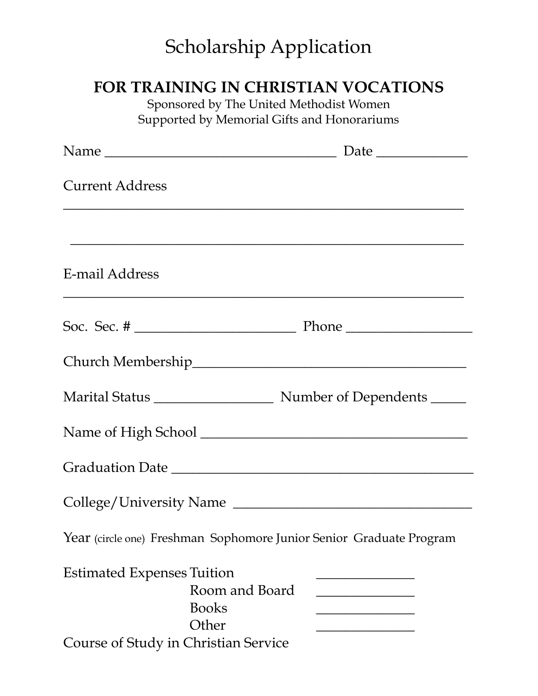## Scholarship Application

## **FOR TRAINING IN CHRISTIAN VOCATIONS**

Sponsored by The United Methodist Women Supported by Memorial Gifts and Honorariums

| <b>Current Address</b>                                                                                               |  |
|----------------------------------------------------------------------------------------------------------------------|--|
|                                                                                                                      |  |
| E-mail Address                                                                                                       |  |
|                                                                                                                      |  |
|                                                                                                                      |  |
|                                                                                                                      |  |
|                                                                                                                      |  |
|                                                                                                                      |  |
| College/University Name                                                                                              |  |
| Year (circle one) Freshman Sophomore Junior Senior Graduate Program                                                  |  |
| <b>Estimated Expenses Tuition</b><br>Room and Board<br><b>Books</b><br>Other<br>Course of Study in Christian Service |  |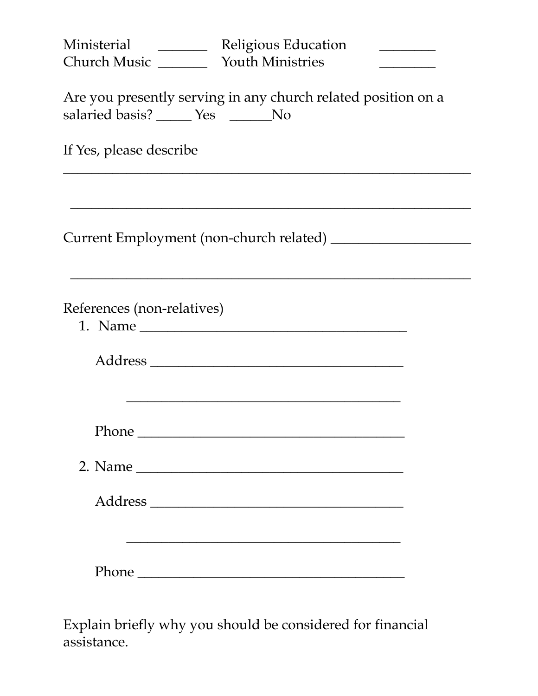| Ministerial ___________ Religious Education<br><b>Church Music</b> Youth Ministries                 |  |  |  |
|-----------------------------------------------------------------------------------------------------|--|--|--|
| Are you presently serving in any church related position on a<br>salaried basis? _____ Yes ______No |  |  |  |
| If Yes, please describe                                                                             |  |  |  |
|                                                                                                     |  |  |  |
| References (non-relatives)                                                                          |  |  |  |
|                                                                                                     |  |  |  |
|                                                                                                     |  |  |  |
|                                                                                                     |  |  |  |
|                                                                                                     |  |  |  |
| Phone                                                                                               |  |  |  |

Explain briefly why you should be considered for financial assistance.